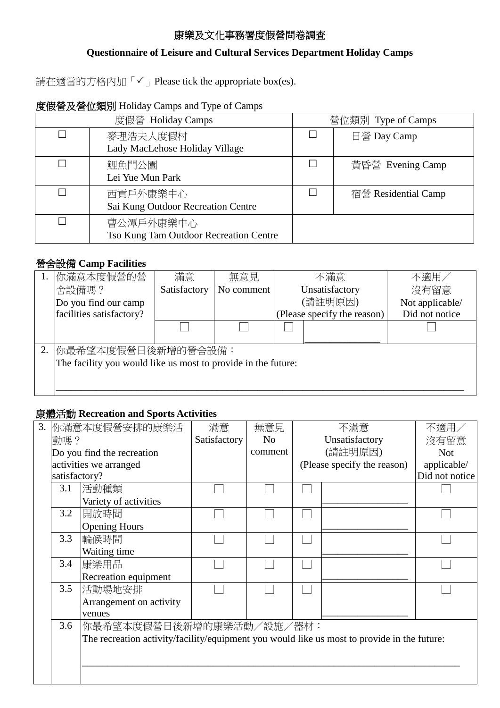## 康樂及文化事務署度假營問卷調查

## **Questionnaire of Leisure and Cultural Services Department Holiday Camps**

請在適當的方格內加「√」Please tick the appropriate box(es).

# 度假營及營位類別 Holiday Camps and Type of Camps

| 度假營 Holiday Camps |                                                     |  | 營位類別 Type of Camps  |  |  |
|-------------------|-----------------------------------------------------|--|---------------------|--|--|
| П                 | 麥理浩夫人度假村<br>Lady MacLehose Holiday Village          |  | 日營 Day Camp         |  |  |
|                   | 鯉魚門公園<br>Lei Yue Mun Park                           |  | 黃昏營 Evening Camp    |  |  |
|                   | 西貢戶外康樂中心<br>Sai Kung Outdoor Recreation Centre      |  | 宿營 Residential Camp |  |  |
|                   | 曹公潭戶外康樂中心<br>Tso Kung Tam Outdoor Recreation Centre |  |                     |  |  |

### 營舍設備 **Camp Facilities**

| 你滿意本度假營的營                                                                           | 滿意           | 無意見        |                | 不滿意                         | 不適用            |  |  |  |                 |
|-------------------------------------------------------------------------------------|--------------|------------|----------------|-----------------------------|----------------|--|--|--|-----------------|
| 舍設備嗎?                                                                               | Satisfactory | No comment | Unsatisfactory |                             | 沒有留意           |  |  |  |                 |
| Do you find our camp                                                                |              |            | (請註明原因)        |                             |                |  |  |  | Not applicable/ |
| facilities satisfactory?                                                            |              |            |                | (Please specify the reason) | Did not notice |  |  |  |                 |
|                                                                                     |              |            |                |                             |                |  |  |  |                 |
| 你最希望本度假營日後新增的營舍設備:<br>The facility you would like us most to provide in the future: |              |            |                |                             |                |  |  |  |                 |

## 康體活動 **Recreation and Sports Activities**

| 3. |               | 你滿意本度假營安排的康樂活                                                                               | 滿意           | 無意見            | 不滿意                         | 不適用            |
|----|---------------|---------------------------------------------------------------------------------------------|--------------|----------------|-----------------------------|----------------|
|    | 動嗎?           |                                                                                             | Satisfactory | N <sub>o</sub> | Unsatisfactory              | 沒有留意           |
|    |               | Do you find the recreation                                                                  |              | comment        | (請註明原因)                     | <b>Not</b>     |
|    |               | activities we arranged                                                                      |              |                | (Please specify the reason) | applicable/    |
|    | satisfactory? |                                                                                             |              |                |                             | Did not notice |
|    | 3.1           | 活動種類                                                                                        |              |                |                             |                |
|    |               | Variety of activities                                                                       |              |                |                             |                |
|    | 3.2           | 開放時間                                                                                        |              |                |                             |                |
|    |               | <b>Opening Hours</b>                                                                        |              |                |                             |                |
|    | 3.3           | 輪候時間                                                                                        |              |                |                             |                |
|    |               | Waiting time                                                                                |              |                |                             |                |
|    | 3.4           | 康樂用品                                                                                        |              |                |                             |                |
|    |               | Recreation equipment                                                                        |              |                |                             |                |
|    | 3.5           | 活動場地安排                                                                                      |              |                |                             |                |
|    |               | Arrangement on activity                                                                     |              |                |                             |                |
|    |               | venues                                                                                      |              |                |                             |                |
|    | 3.6           | 你最希望本度假營日後新增的康樂活動/設施/器材:                                                                    |              |                |                             |                |
|    |               | The recreation activity/facility/equipment you would like us most to provide in the future: |              |                |                             |                |
|    |               |                                                                                             |              |                |                             |                |
|    |               |                                                                                             |              |                |                             |                |
|    |               |                                                                                             |              |                |                             |                |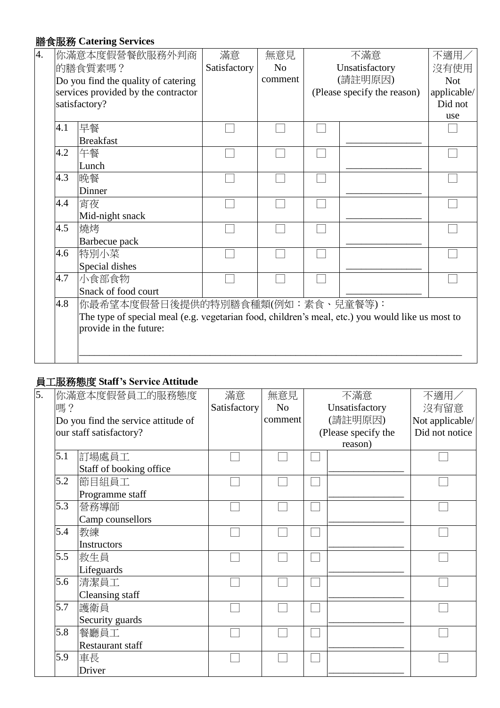## 膳食服務 **Catering Services**

| 4. |     | 你滿意本度假營餐飲服務外判商                                                                                   | 滿意           | 無意見            | 不滿意                         | 不適用/        |
|----|-----|--------------------------------------------------------------------------------------------------|--------------|----------------|-----------------------------|-------------|
|    |     | 的膳食質素嗎?                                                                                          | Satisfactory | N <sub>0</sub> | Unsatisfactory              | 沒有使用        |
|    |     | Do you find the quality of catering                                                              |              | comment        | (請註明原因)                     |             |
|    |     | services provided by the contractor                                                              |              |                | (Please specify the reason) | applicable/ |
|    |     | satisfactory?                                                                                    |              |                |                             | Did not     |
|    |     |                                                                                                  |              |                |                             | use         |
|    | 4.1 | 早餐                                                                                               |              |                |                             |             |
|    |     | <b>Breakfast</b>                                                                                 |              |                |                             |             |
|    | 4.2 | 午餐                                                                                               |              |                |                             |             |
|    |     | Lunch                                                                                            |              |                |                             |             |
|    | 4.3 | 晚餐                                                                                               |              |                |                             |             |
|    |     | Dinner                                                                                           |              |                |                             |             |
|    | 4.4 | 宵夜                                                                                               |              |                |                             |             |
|    |     | Mid-night snack                                                                                  |              |                |                             |             |
|    | 4.5 | 燒烤                                                                                               |              |                |                             |             |
|    |     | Barbecue pack                                                                                    |              |                |                             |             |
|    | 4.6 | 特別小菜                                                                                             |              |                |                             |             |
|    |     | Special dishes                                                                                   |              |                |                             |             |
|    | 4.7 | 小食部食物                                                                                            |              |                |                             |             |
|    |     | Snack of food court                                                                              |              |                |                             |             |
|    | 4.8 | 你最希望本度假營日後提供的特別膳食種類(例如:素食、兒童餐等):                                                                 |              |                |                             |             |
|    |     | The type of special meal (e.g. vegetarian food, children's meal, etc.) you would like us most to |              |                |                             |             |
|    |     | provide in the future:                                                                           |              |                |                             |             |
|    |     |                                                                                                  |              |                |                             |             |
|    |     |                                                                                                  |              |                |                             |             |
|    |     |                                                                                                  |              |                |                             |             |

### 員工服務態度 **Staff's Service Attitude**

| 5. |     | 你滿意本度假營員工的服務態度                      | 滿意           | 無意見            | 不滿意                 | 不適用/            |
|----|-----|-------------------------------------|--------------|----------------|---------------------|-----------------|
|    |     |                                     |              |                |                     |                 |
|    | 嗎?  |                                     | Satisfactory | N <sub>o</sub> | Unsatisfactory      | 沒有留意            |
|    |     | Do you find the service attitude of |              | comment        | (請註明原因)             | Not applicable/ |
|    |     | our staff satisfactory?             |              |                | (Please specify the | Did not notice  |
|    |     |                                     |              |                | reason)             |                 |
|    | 5.1 | 訂場處員工                               |              |                |                     |                 |
|    |     | Staff of booking office             |              |                |                     |                 |
|    | 5.2 | 節目組員工                               |              |                |                     |                 |
|    |     | Programme staff                     |              |                |                     |                 |
|    | 5.3 | 營務導師                                |              |                |                     |                 |
|    |     | Camp counsellors                    |              |                |                     |                 |
|    | 5.4 | 教練                                  |              |                |                     |                 |
|    |     | <b>Instructors</b>                  |              |                |                     |                 |
|    | 5.5 | 救生員                                 |              |                |                     |                 |
|    |     | Lifeguards                          |              |                |                     |                 |
|    | 5.6 | 清潔員工                                |              |                |                     |                 |
|    |     | Cleansing staff                     |              |                |                     |                 |
|    | 5.7 | 護衛員                                 |              |                |                     |                 |
|    |     | Security guards                     |              |                |                     |                 |
|    | 5.8 | 餐廳員工                                |              |                |                     |                 |
|    |     | <b>Restaurant staff</b>             |              |                |                     |                 |
|    | 5.9 | 車長                                  |              |                |                     |                 |
|    |     | Driver                              |              |                |                     |                 |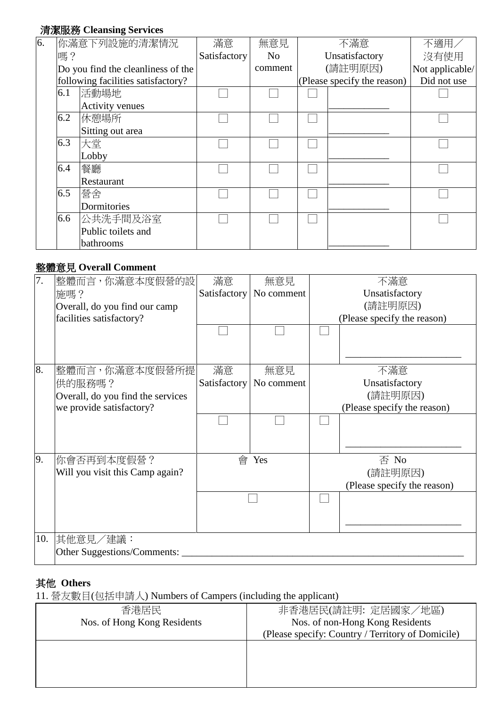# 清潔服務 **Cleansing Services**

| 6. |     | 你滿意下列設施的清潔情況                       | 滿意           | 無意見     | 不滿意                         | 不適用/            |
|----|-----|------------------------------------|--------------|---------|-----------------------------|-----------------|
|    | 嗎?  |                                    | Satisfactory | No      | Unsatisfactory              | 沒有使用            |
|    |     | Do you find the cleanliness of the |              | comment | (請註明原因)                     | Not applicable/ |
|    |     | following facilities satisfactory? |              |         | (Please specify the reason) | Did not use     |
|    | 6.1 | 活動場地                               |              |         |                             |                 |
|    |     | <b>Activity venues</b>             |              |         |                             |                 |
|    | 6.2 | 休憩場所                               |              |         |                             |                 |
|    |     | Sitting out area                   |              |         |                             |                 |
|    | 6.3 | 大堂                                 |              |         |                             |                 |
|    |     | Lobby                              |              |         |                             |                 |
|    | 6.4 | 餐廳                                 |              |         |                             |                 |
|    |     | Restaurant                         |              |         |                             |                 |
|    | 6.5 | 營舍                                 |              |         |                             |                 |
|    |     | Dormitories                        |              |         |                             |                 |
|    | 6.6 | 公共洗手間及浴室                           |              |         |                             |                 |
|    |     | Public toilets and                 |              |         |                             |                 |
|    |     | bathrooms                          |              |         |                             |                 |

# 整體意見 **Overall Comment**

| 7.  | 整體而言,你滿意本度假營的設                    | 滿意           | 無意見        | 不滿意                         |
|-----|-----------------------------------|--------------|------------|-----------------------------|
|     | 施嗎?                               | Satisfactory | No comment | Unsatisfactory              |
|     | Overall, do you find our camp     |              |            | (請註明原因)                     |
|     | facilities satisfactory?          |              |            | (Please specify the reason) |
|     |                                   |              |            |                             |
|     |                                   |              |            |                             |
|     |                                   |              |            |                             |
| 8.  | 整體而言,你滿意本度假營所提                    | 滿意           | 無意見        | 不滿意                         |
|     | 供的服務嗎?                            | Satisfactory | No comment | Unsatisfactory              |
|     | Overall, do you find the services |              |            | (請註明原因)                     |
|     | we provide satisfactory?          |              |            | (Please specify the reason) |
|     |                                   |              |            |                             |
|     |                                   |              |            |                             |
|     |                                   |              |            |                             |
| 9.  | 你會否再到本度假營?                        |              | 會 Yes      | 否 No                        |
|     | Will you visit this Camp again?   |              |            | (請註明原因)                     |
|     |                                   |              |            | (Please specify the reason) |
|     |                                   |              |            |                             |
|     |                                   |              |            |                             |
|     |                                   |              |            |                             |
| 10. | 其他意見/建議:                          |              |            |                             |
|     | Other Suggestions/Comments:       |              |            |                             |
|     |                                   |              |            |                             |

## 其他 **Others**

11. 營友數目(包括申請人) Numbers of Campers (including the applicant)

|                             | $\frac{1}{1!}$ $\frac{1}{1!}$ $\frac{1}{1!}$ $\frac{1}{1!}$ $\frac{1}{1!}$ $\frac{1}{1!}$ $\frac{1}{1!}$ $\frac{1}{1!}$ $\frac{1}{1!}$ $\frac{1}{1!}$ $\frac{1}{1!}$ $\frac{1}{1!}$ $\frac{1}{1!}$ $\frac{1}{1!}$ $\frac{1}{1!}$ $\frac{1}{1!}$ $\frac{1}{1!}$ $\frac{1}{1!}$ |  |  |  |  |  |
|-----------------------------|-------------------------------------------------------------------------------------------------------------------------------------------------------------------------------------------------------------------------------------------------------------------------------|--|--|--|--|--|
| 香港居民                        | 非香港居民(請註明: 定居國家/地區)                                                                                                                                                                                                                                                           |  |  |  |  |  |
| Nos. of Hong Kong Residents | Nos. of non-Hong Kong Residents                                                                                                                                                                                                                                               |  |  |  |  |  |
|                             | (Please specify: Country / Territory of Domicile)                                                                                                                                                                                                                             |  |  |  |  |  |
|                             |                                                                                                                                                                                                                                                                               |  |  |  |  |  |
|                             |                                                                                                                                                                                                                                                                               |  |  |  |  |  |
|                             |                                                                                                                                                                                                                                                                               |  |  |  |  |  |
|                             |                                                                                                                                                                                                                                                                               |  |  |  |  |  |